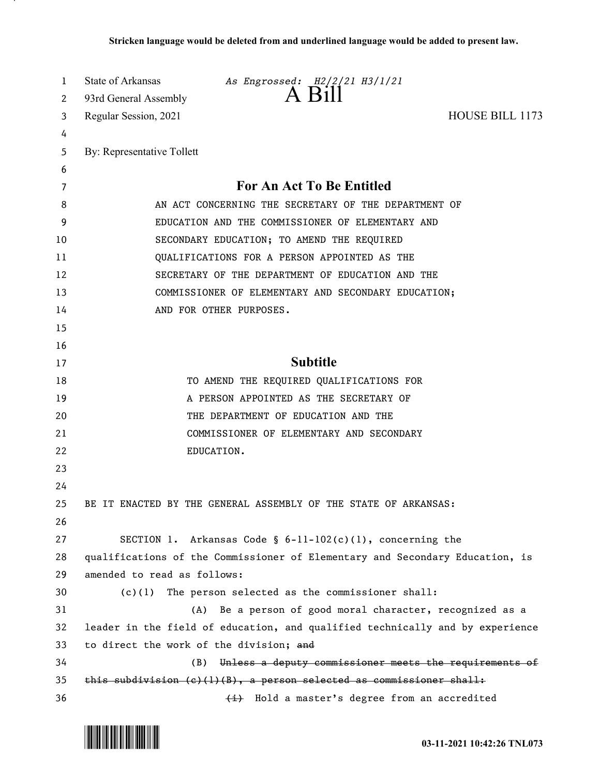| 1      | State of Arkansas<br>As Engrossed: H2/2/21 H3/1/21<br>A Bill                  |
|--------|-------------------------------------------------------------------------------|
| 2      | 93rd General Assembly                                                         |
| 3      | <b>HOUSE BILL 1173</b><br>Regular Session, 2021                               |
| 4      |                                                                               |
| 5      | By: Representative Tollett                                                    |
| 6      | For An Act To Be Entitled                                                     |
| 7<br>8 | AN ACT CONCERNING THE SECRETARY OF THE DEPARTMENT OF                          |
| 9      | EDUCATION AND THE COMMISSIONER OF ELEMENTARY AND                              |
| 10     | SECONDARY EDUCATION; TO AMEND THE REQUIRED                                    |
| 11     | QUALIFICATIONS FOR A PERSON APPOINTED AS THE                                  |
| 12     | SECRETARY OF THE DEPARTMENT OF EDUCATION AND THE                              |
| 13     | COMMISSIONER OF ELEMENTARY AND SECONDARY EDUCATION;                           |
| 14     | AND FOR OTHER PURPOSES.                                                       |
| 15     |                                                                               |
| 16     |                                                                               |
| 17     | <b>Subtitle</b>                                                               |
| 18     | TO AMEND THE REQUIRED QUALIFICATIONS FOR                                      |
| 19     | A PERSON APPOINTED AS THE SECRETARY OF                                        |
| 20     | THE DEPARTMENT OF EDUCATION AND THE                                           |
| 21     | COMMISSIONER OF ELEMENTARY AND SECONDARY                                      |
| 22     | EDUCATION.                                                                    |
| 23     |                                                                               |
| 24     |                                                                               |
| 25     | BE IT ENACTED BY THE GENERAL ASSEMBLY OF THE STATE OF ARKANSAS:               |
| 26     |                                                                               |
| 27     | SECTION 1. Arkansas Code § $6-11-102(c)(1)$ , concerning the                  |
| 28     | qualifications of the Commissioner of Elementary and Secondary Education, is  |
| 29     | amended to read as follows:                                                   |
| 30     | The person selected as the commissioner shall:<br>(c)(1)                      |
| 31     | Be a person of good moral character, recognized as a<br>(A)                   |
| 32     | leader in the field of education, and qualified technically and by experience |
| 33     | to direct the work of the division; and                                       |
| 34     | Unless a deputy commissioner meets the requirements of<br>(B)                 |
| 35     | this subdivision $(e)$ (1)(B), a person selected as commissioner shall:       |
| 36     | Hold a master's degree from an accredited<br>$\leftrightarrow$                |